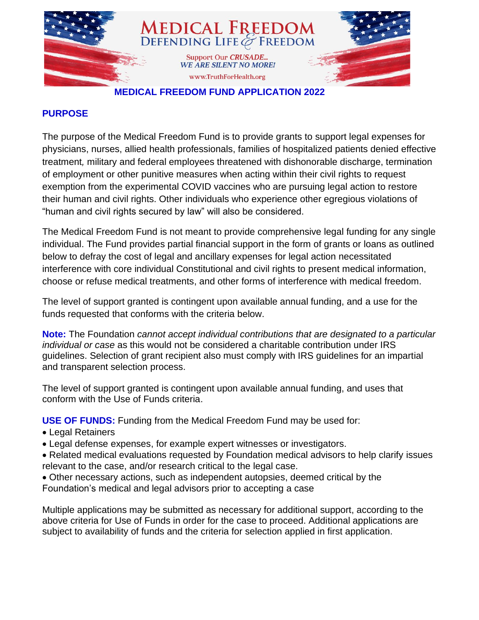

#### **MEDICAL FREEDOM FUND APPLICATION 2022**

### **PURPOSE**

The purpose of the Medical Freedom Fund is to provide grants to support legal expenses for physicians, nurses, allied health professionals, families of hospitalized patients denied effective treatment*,* military and federal employees threatened with dishonorable discharge, termination of employment or other punitive measures when acting within their civil rights to request exemption from the experimental COVID vaccines who are pursuing legal action to restore their human and civil rights. Other individuals who experience other egregious violations of "human and civil rights secured by law" will also be considered.

The Medical Freedom Fund is not meant to provide comprehensive legal funding for any single individual. The Fund provides partial financial support in the form of grants or loans as outlined below to defray the cost of legal and ancillary expenses for legal action necessitated interference with core individual Constitutional and civil rights to present medical information, choose or refuse medical treatments, and other forms of interference with medical freedom.

The level of support granted is contingent upon available annual funding, and a use for the funds requested that conforms with the criteria below.

**Note:** The Foundation *cannot accept individual contributions that are designated to a particular individual or case* as this would not be considered a charitable contribution under IRS guidelines. Selection of grant recipient also must comply with IRS guidelines for an impartial and transparent selection process.

The level of support granted is contingent upon available annual funding, and uses that conform with the Use of Funds criteria.

**USE OF FUNDS:** Funding from the Medical Freedom Fund may be used for:

- Legal Retainers
- Legal defense expenses, for example expert witnesses or investigators.
- Related medical evaluations requested by Foundation medical advisors to help clarify issues relevant to the case, and/or research critical to the legal case.
- Other necessary actions, such as independent autopsies, deemed critical by the Foundation's medical and legal advisors prior to accepting a case

Multiple applications may be submitted as necessary for additional support, according to the above criteria for Use of Funds in order for the case to proceed. Additional applications are subject to availability of funds and the criteria for selection applied in first application.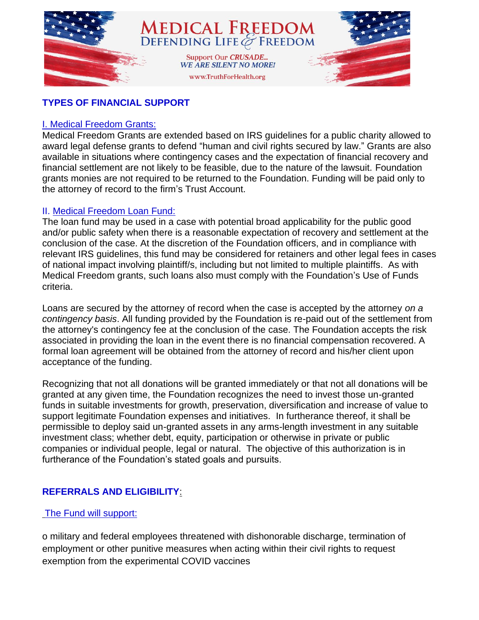

# **TYPES OF FINANCIAL SUPPORT**

### I. Medical Freedom Grants:

Medical Freedom Grants are extended based on IRS guidelines for a public charity allowed to award legal defense grants to defend "human and civil rights secured by law." Grants are also available in situations where contingency cases and the expectation of financial recovery and financial settlement are not likely to be feasible, due to the nature of the lawsuit. Foundation grants monies are not required to be returned to the Foundation. Funding will be paid only to the attorney of record to the firm's Trust Account.

### II. Medical Freedom Loan Fund:

The loan fund may be used in a case with potential broad applicability for the public good and/or public safety when there is a reasonable expectation of recovery and settlement at the conclusion of the case. At the discretion of the Foundation officers, and in compliance with relevant IRS guidelines, this fund may be considered for retainers and other legal fees in cases of national impact involving plaintiff/s, including but not limited to multiple plaintiffs. As with Medical Freedom grants, such loans also must comply with the Foundation's Use of Funds criteria.

Loans are secured by the attorney of record when the case is accepted by the attorney *on a contingency basis*. All funding provided by the Foundation is re-paid out of the settlement from the attorney's contingency fee at the conclusion of the case. The Foundation accepts the risk associated in providing the loan in the event there is no financial compensation recovered. A formal loan agreement will be obtained from the attorney of record and his/her client upon acceptance of the funding.

Recognizing that not all donations will be granted immediately or that not all donations will be granted at any given time, the Foundation recognizes the need to invest those un-granted funds in suitable investments for growth, preservation, diversification and increase of value to support legitimate Foundation expenses and initiatives. In furtherance thereof, it shall be permissible to deploy said un-granted assets in any arms-length investment in any suitable investment class; whether debt, equity, participation or otherwise in private or public companies or individual people, legal or natural. The objective of this authorization is in furtherance of the Foundation's stated goals and pursuits.

# **REFERRALS AND ELIGIBILITY**:

## The Fund will support:

o military and federal employees threatened with dishonorable discharge, termination of employment or other punitive measures when acting within their civil rights to request exemption from the experimental COVID vaccines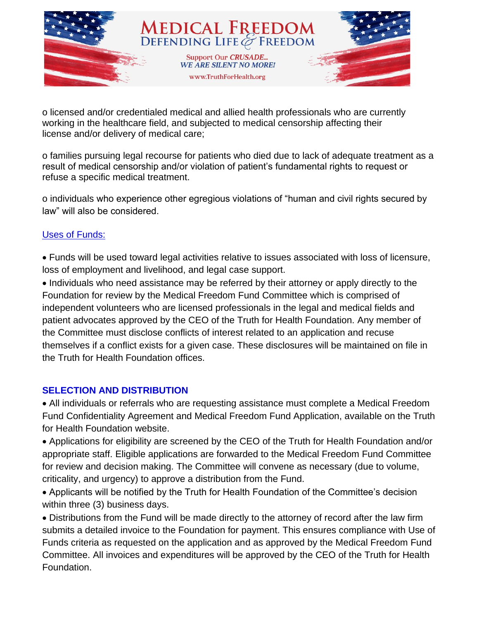

o licensed and/or credentialed medical and allied health professionals who are currently working in the healthcare field, and subjected to medical censorship affecting their license and/or delivery of medical care;

o families pursuing legal recourse for patients who died due to lack of adequate treatment as a result of medical censorship and/or violation of patient's fundamental rights to request or refuse a specific medical treatment.

o individuals who experience other egregious violations of "human and civil rights secured by law" will also be considered.

## Uses of Funds:

• Funds will be used toward legal activities relative to issues associated with loss of licensure, loss of employment and livelihood, and legal case support.

• Individuals who need assistance may be referred by their attorney or apply directly to the Foundation for review by the Medical Freedom Fund Committee which is comprised of independent volunteers who are licensed professionals in the legal and medical fields and patient advocates approved by the CEO of the Truth for Health Foundation. Any member of the Committee must disclose conflicts of interest related to an application and recuse themselves if a conflict exists for a given case. These disclosures will be maintained on file in the Truth for Health Foundation offices.

## **SELECTION AND DISTRIBUTION**

• All individuals or referrals who are requesting assistance must complete a Medical Freedom Fund Confidentiality Agreement and Medical Freedom Fund Application, available on the Truth for Health Foundation website.

• Applications for eligibility are screened by the CEO of the Truth for Health Foundation and/or appropriate staff. Eligible applications are forwarded to the Medical Freedom Fund Committee for review and decision making. The Committee will convene as necessary (due to volume, criticality, and urgency) to approve a distribution from the Fund.

• Applicants will be notified by the Truth for Health Foundation of the Committee's decision within three (3) business days.

• Distributions from the Fund will be made directly to the attorney of record after the law firm submits a detailed invoice to the Foundation for payment. This ensures compliance with Use of Funds criteria as requested on the application and as approved by the Medical Freedom Fund Committee. All invoices and expenditures will be approved by the CEO of the Truth for Health Foundation.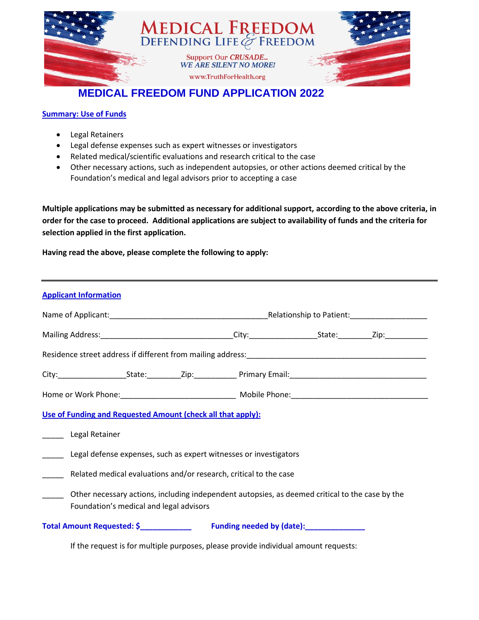

# **MEDICAL FREEDOM FUND APPLICATION 2022**

#### **Summary: Use of Funds**

- Legal Retainers
- Legal defense expenses such as expert witnesses or investigators
- Related medical/scientific evaluations and research critical to the case
- Other necessary actions, such as independent autopsies, or other actions deemed critical by the Foundation's medical and legal advisors prior to accepting a case

**Multiple applications may be submitted as necessary for additional support, according to the above criteria, in order for the case to proceed. Additional applications are subject to availability of funds and the criteria for selection applied in the first application.**

**Having read the above, please complete the following to apply:**

| <b>Applicant Information</b>                                                                                                               |  |  |  |  |  |
|--------------------------------------------------------------------------------------------------------------------------------------------|--|--|--|--|--|
|                                                                                                                                            |  |  |  |  |  |
|                                                                                                                                            |  |  |  |  |  |
|                                                                                                                                            |  |  |  |  |  |
|                                                                                                                                            |  |  |  |  |  |
|                                                                                                                                            |  |  |  |  |  |
| Use of Funding and Requested Amount (check all that apply):                                                                                |  |  |  |  |  |
| Legal Retainer                                                                                                                             |  |  |  |  |  |
| Legal defense expenses, such as expert witnesses or investigators                                                                          |  |  |  |  |  |
| Related medical evaluations and/or research, critical to the case<br>$\overline{\phantom{a}}$                                              |  |  |  |  |  |
| Other necessary actions, including independent autopsies, as deemed critical to the case by the<br>Foundation's medical and legal advisors |  |  |  |  |  |
|                                                                                                                                            |  |  |  |  |  |

If the request is for multiple purposes, please provide individual amount requests: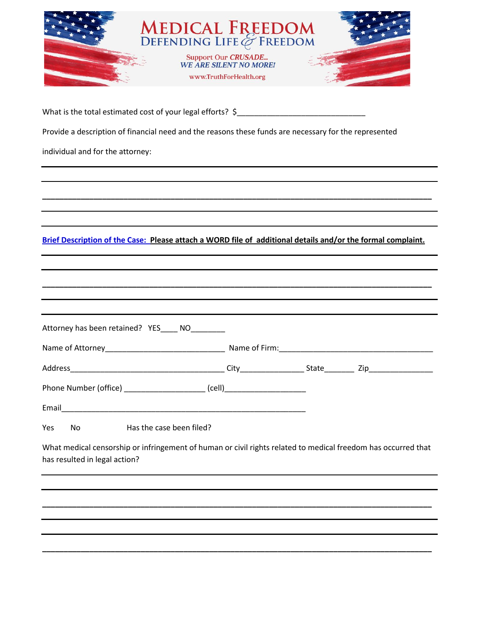|                                                                                                                                                | <b>MEDICAL FREEDOM</b><br>DEFENDING LIFE & FREEDOM<br>Support Our CRUSADE<br>WE ARE SILENT NO MORE!<br>www.TruthForHealth.org |  |
|------------------------------------------------------------------------------------------------------------------------------------------------|-------------------------------------------------------------------------------------------------------------------------------|--|
|                                                                                                                                                |                                                                                                                               |  |
| What is the total estimated cost of your legal efforts? \$                                                                                     |                                                                                                                               |  |
| Provide a description of financial need and the reasons these funds are necessary for the represented                                          |                                                                                                                               |  |
| individual and for the attorney:                                                                                                               |                                                                                                                               |  |
|                                                                                                                                                |                                                                                                                               |  |
|                                                                                                                                                |                                                                                                                               |  |
|                                                                                                                                                |                                                                                                                               |  |
| Brief Description of the Case: Please attach a WORD file of additional details and/or the formal complaint.                                    |                                                                                                                               |  |
|                                                                                                                                                |                                                                                                                               |  |
|                                                                                                                                                |                                                                                                                               |  |
|                                                                                                                                                |                                                                                                                               |  |
| Attorney has been retained? YES____ NO________                                                                                                 |                                                                                                                               |  |
| Name of Attorney                                                                                                                               | Name of Firm:                                                                                                                 |  |
|                                                                                                                                                |                                                                                                                               |  |
| Phone Number (office) _______________________ (cell)____________________________                                                               |                                                                                                                               |  |
|                                                                                                                                                |                                                                                                                               |  |
| Yes<br>Has the case been filed?<br>No                                                                                                          |                                                                                                                               |  |
| What medical censorship or infringement of human or civil rights related to medical freedom has occurred that<br>has resulted in legal action? |                                                                                                                               |  |
|                                                                                                                                                |                                                                                                                               |  |
|                                                                                                                                                |                                                                                                                               |  |
|                                                                                                                                                |                                                                                                                               |  |
|                                                                                                                                                |                                                                                                                               |  |